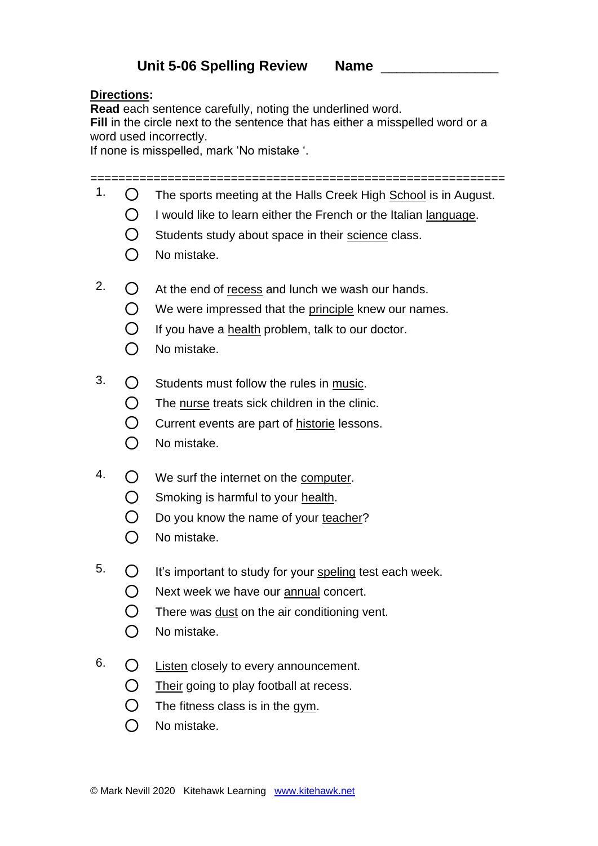## **Directions:**

**Read** each sentence carefully, noting the underlined word. **Fill** in the circle next to the sentence that has either a misspelled word or a word used incorrectly.

If none is misspelled, mark 'No mistake '.

## ===========================================================

- 1.  $\bigcirc$  The sports meeting at the Halls Creek High School is in August.
	- $\bigcirc$  I would like to learn either the French or the Italian language.
	- $\bigcirc$  Students study about space in their science class.
	- $\bigcap$  No mistake.
- 2.  $\bigcirc$  At the end of recess and lunch we wash our hands.
	- $\bigcirc$  We were impressed that the principle knew our names.
	- $\bigcirc$  If you have a health problem, talk to our doctor.
	- $\bigcap$  No mistake.
- $3.$   $\bigcirc$  Students must follow the rules in music.
	- $\bigcirc$  The nurse treats sick children in the clinic.
	- Current events are part of historie lessons.
	- $\bigcap$  No mistake.
- 4.  $\bigcirc$  We surf the internet on the computer.
	- $\bigcirc$  Smoking is harmful to your health.
	- $\bigcirc$  Do you know the name of your teacher?
	- $\bigcap$  No mistake.
- 5.  $\bigcirc$  It's important to study for your speling test each week.
	- $\bigcirc$  Next week we have our annual concert.
	- $\bigcirc$  There was dust on the air conditioning vent.
	- $\bigcap$  No mistake.
- $6. \quad \bigcirc$  Listen closely to every announcement.
	- $\bigcirc$  Their going to play football at recess.
	- $\bigcirc$  The fitness class is in the gym.
	- $\bigcap$  No mistake.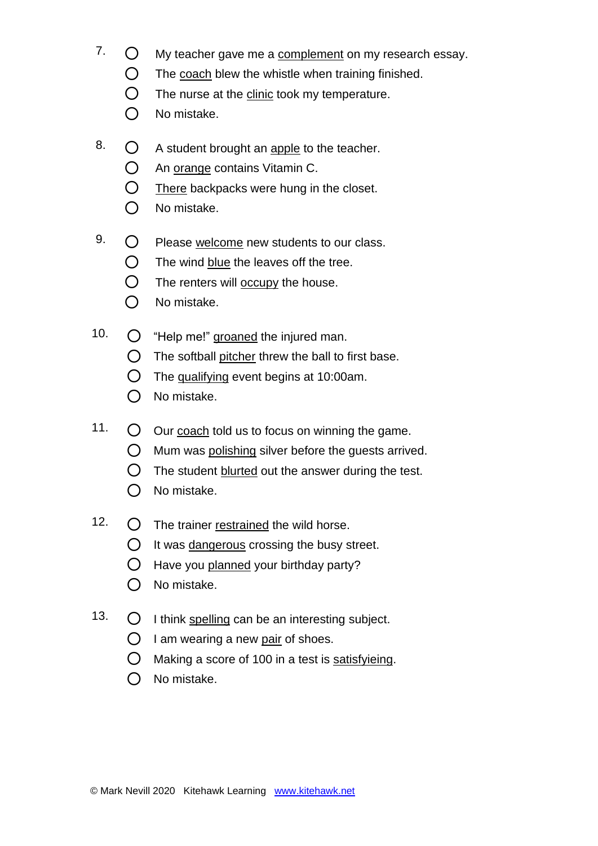- 7.  $\bigcirc$  My teacher gave me a complement on my research essay.
	- $\bigcirc$  The coach blew the whistle when training finished.
	- $\bigcirc$  The nurse at the clinic took my temperature.
	- $\bigcap$  No mistake.
- $8. \quad \bigcirc$  A student brought an apple to the teacher.
	- An orange contains Vitamin C.
	- $\bigcirc$  There backpacks were hung in the closet.
	- $\bigcap$  No mistake.
- 9.  $\bigcirc$  Please welcome new students to our class.
	- $\bigcirc$  The wind blue the leaves off the tree.
	- $\bigcirc$  The renters will occupy the house.
	- $\bigcap$  No mistake.
- 10.  $\bigcirc$  "Help me!" groaned the injured man.
	- $\bigcirc$  The softball pitcher threw the ball to first base.
	- $\bigcirc$  The qualifying event begins at 10:00am.
	- $\bigcap$  No mistake.
- 11.  $\bigcirc$  Our coach told us to focus on winning the game.
	- $\bigcirc$  Mum was polishing silver before the guests arrived.
	- $\bigcirc$  The student blurted out the answer during the test.
	- $\bigcap$  No mistake.
- 12.  $\bigcirc$  The trainer restrained the wild horse.
	- $\bigcirc$  It was dangerous crossing the busy street.
	- $\bigcirc$  Have you planned your birthday party?
	- $\bigcap$  No mistake.
- 13.  $\bigcirc$  I think spelling can be an interesting subject.
	- $\bigcirc$  I am wearing a new pair of shoes.
	- $\bigcirc$  Making a score of 100 in a test is satisfyieing.
	- $\bigcap$  No mistake.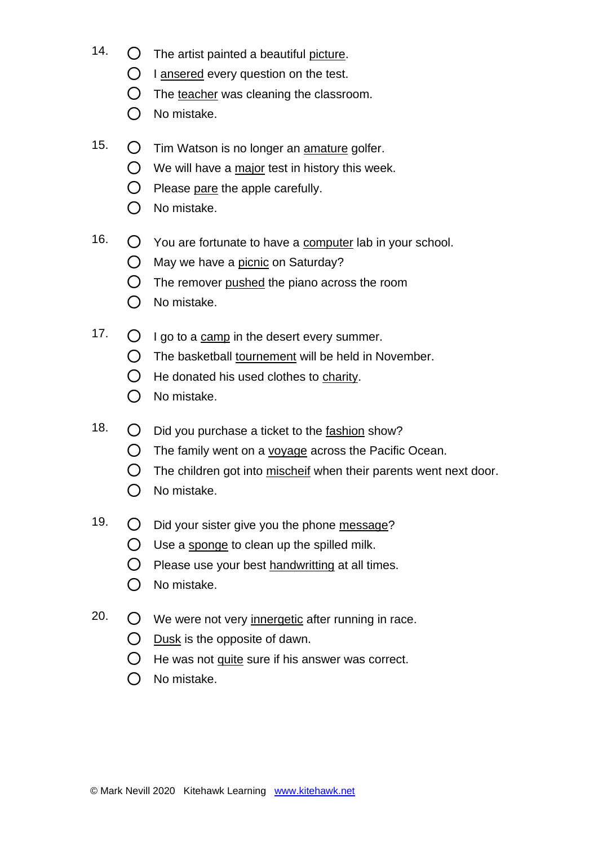- 14.  $\bigcirc$  The artist painted a beautiful picture.
	- $\bigcirc$  I ansered every question on the test.
	- $\bigcirc$  The teacher was cleaning the classroom.
	- $\bigcap$  No mistake.
- 15.  $\bigcirc$  Tim Watson is no longer an amature golfer.
	- $\bigcirc$  We will have a major test in history this week.
	- $\bigcirc$  Please pare the apple carefully.
	- $\bigcap$  No mistake.
- 16.  $\bigcirc$  You are fortunate to have a computer lab in your school.
	- $O$  May we have a picnic on Saturday?
	- $\bigcap$  The remover pushed the piano across the room
	- $\bigcap$  No mistake.
- 17.  $\bigcap$  I go to a camp in the desert every summer.
	- $\bigcirc$  The basketball tournement will be held in November.
	- $\bigcirc$  He donated his used clothes to charity.
	- $\bigcap$  No mistake.
- 18.  $\bigcirc$  Did you purchase a ticket to the fashion show?
	- $\bigcirc$  The family went on a voyage across the Pacific Ocean.
	- $\bigcirc$  The children got into mischeif when their parents went next door.
	- $\bigcap$  No mistake.
- 19.  $\bigcirc$  Did your sister give you the phone message?
	- $\bigcirc$  Use a sponge to clean up the spilled milk.
	- $\bigcirc$  Please use your best handwritting at all times.
	- $\bigcap$  No mistake.
- 20.  $\bigcirc$  We were not very innergetic after running in race.
	- $\bigcirc$  Dusk is the opposite of dawn.
	- $\bigcirc$  He was not quite sure if his answer was correct.
	- $\bigcap$  No mistake.